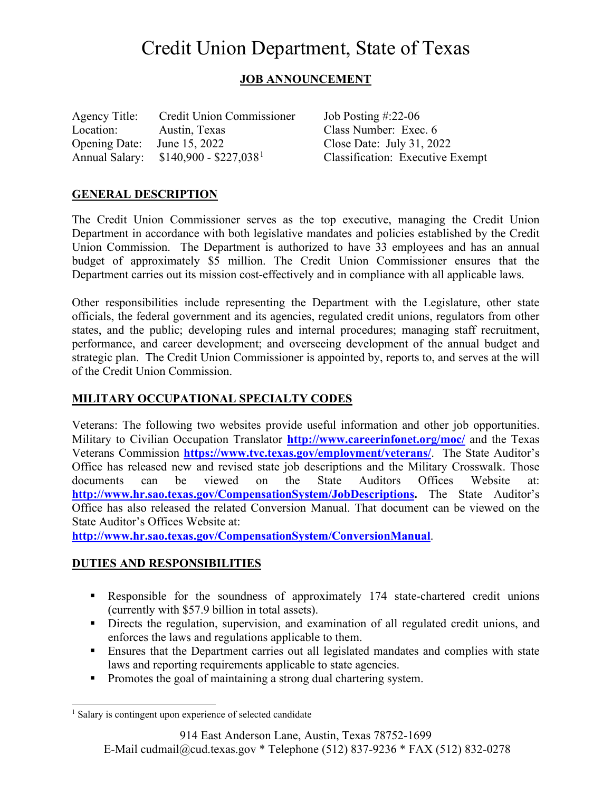# Credit Union Department, State of Texas

# **JOB ANNOUNCEMENT**

| Agency Title:         | <b>Credit Union Commissioner</b>   |
|-----------------------|------------------------------------|
| Location:             | Austin, Texas                      |
| <b>Opening Date:</b>  | June 15, 2022                      |
| <b>Annual Salary:</b> | $$140,900 - $227,038$ <sup>1</sup> |

Job Posting  $\text{\#:}22\text{-}06$ Class Number: Exec. 6 Close Date: July 31, 2022 Classification: Executive Exempt

## **GENERAL DESCRIPTION**

The Credit Union Commissioner serves as the top executive, managing the Credit Union Department in accordance with both legislative mandates and policies established by the Credit Union Commission. The Department is authorized to have 33 employees and has an annual budget of approximately \$5 million. The Credit Union Commissioner ensures that the Department carries out its mission cost-effectively and in compliance with all applicable laws.

Other responsibilities include representing the Department with the Legislature, other state officials, the federal government and its agencies, regulated credit unions, regulators from other states, and the public; developing rules and internal procedures; managing staff recruitment, performance, and career development; and overseeing development of the annual budget and strategic plan. The Credit Union Commissioner is appointed by, reports to, and serves at the will of the Credit Union Commission.

## **MILITARY OCCUPATIONAL SPECIALTY CODES**

Veterans: The following two websites provide useful information and other job opportunities. Military to Civilian Occupation Translator **<http://www.careerinfonet.org/moc/>** and the Texas Veterans Commission **<https://www.tvc.texas.gov/employment/veterans/>**. The State Auditor's Office has released new and revised state job descriptions and the Military Crosswalk. Those documents can be viewed on the State Auditors Offices Website at: **[http://www.hr.sao.texas.gov/CompensationSystem/JobDescriptions.](http://www.hr.sao.texas.gov/CompensationSystem/JobDescriptions)** The State Auditor's Office has also released the related Conversion Manual. That document can be viewed on the State Auditor's Offices Website at:

**<http://www.hr.sao.texas.gov/CompensationSystem/ConversionManual>**.

## **DUTIES AND RESPONSIBILITIES**

- Responsible for the soundness of approximately 174 state-chartered credit unions (currently with \$57.9 billion in total assets).
- Directs the regulation, supervision, and examination of all regulated credit unions, and enforces the laws and regulations applicable to them.
- Ensures that the Department carries out all legislated mandates and complies with state laws and reporting requirements applicable to state agencies.
- Promotes the goal of maintaining a strong dual chartering system.

<span id="page-0-0"></span><sup>&</sup>lt;sup>1</sup> Salary is contingent upon experience of selected candidate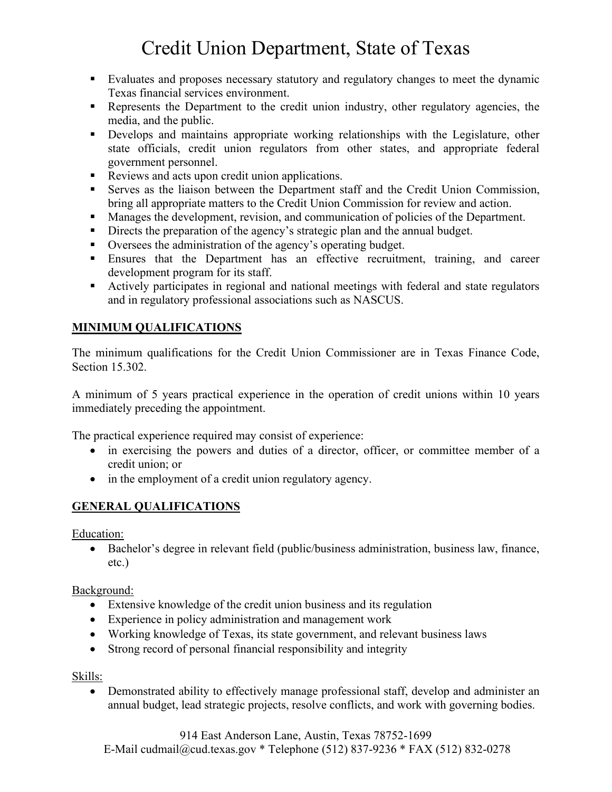# Credit Union Department, State of Texas

- Evaluates and proposes necessary statutory and regulatory changes to meet the dynamic Texas financial services environment.
- Represents the Department to the credit union industry, other regulatory agencies, the media, and the public.
- Develops and maintains appropriate working relationships with the Legislature, other state officials, credit union regulators from other states, and appropriate federal government personnel.
- Reviews and acts upon credit union applications.
- Serves as the liaison between the Department staff and the Credit Union Commission, bring all appropriate matters to the Credit Union Commission for review and action.
- Manages the development, revision, and communication of policies of the Department.
- Directs the preparation of the agency's strategic plan and the annual budget.
- Oversees the administration of the agency's operating budget.
- Ensures that the Department has an effective recruitment, training, and career development program for its staff.
- Actively participates in regional and national meetings with federal and state regulators and in regulatory professional associations such as NASCUS.

# **MINIMUM QUALIFICATIONS**

The minimum qualifications for the Credit Union Commissioner are in Texas Finance Code, Section 15.302.

A minimum of 5 years practical experience in the operation of credit unions within 10 years immediately preceding the appointment.

The practical experience required may consist of experience:

- in exercising the powers and duties of a director, officer, or committee member of a credit union; or
- in the employment of a credit union regulatory agency.

# **GENERAL QUALIFICATIONS**

Education:

• Bachelor's degree in relevant field (public/business administration, business law, finance, etc.)

## Background:

- Extensive knowledge of the credit union business and its regulation
- Experience in policy administration and management work
- Working knowledge of Texas, its state government, and relevant business laws
- Strong record of personal financial responsibility and integrity

## Skills:

• Demonstrated ability to effectively manage professional staff, develop and administer an annual budget, lead strategic projects, resolve conflicts, and work with governing bodies.